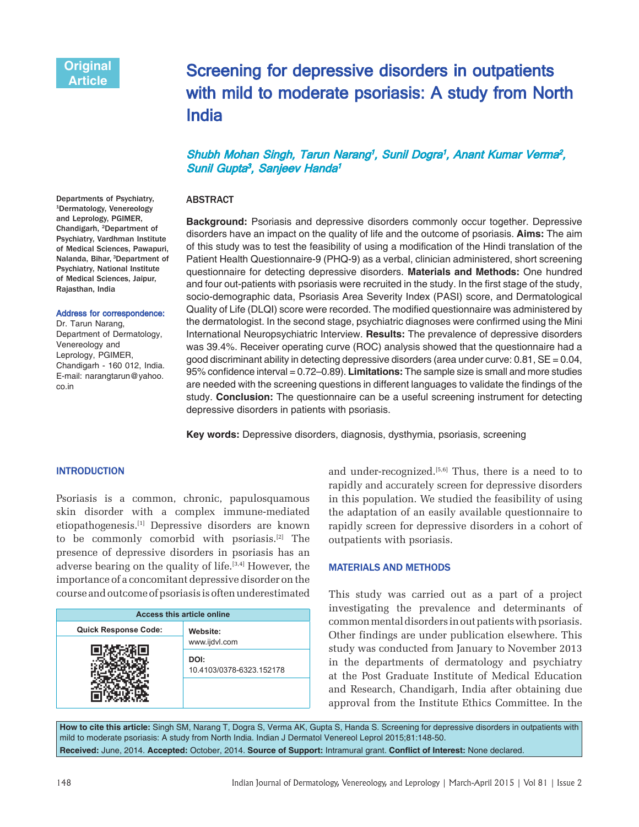# Screening for depressive disorders in outpatients with mild to moderate psoriasis: A study from North India

## Shubh Mohan Singh, Tarun Narang<sup>1</sup>, Sunil Dogra<sup>1</sup>, Anant Kumar Verma<sup>2</sup>, Sunil Gupta<sup>3</sup>, Sanjeev Handa<sup>1</sup>

### ABSTRACT

**Background:** Psoriasis and depressive disorders commonly occur together. Depressive disorders have an impact on the quality of life and the outcome of psoriasis. **Aims:** The aim of this study was to test the feasibility of using a modification of the Hindi translation of the Patient Health Questionnaire-9 (PHQ-9) as a verbal, clinician administered, short screening questionnaire for detecting depressive disorders. **Materials and Methods:** One hundred and four out-patients with psoriasis were recruited in the study. In the first stage of the study, socio-demographic data, Psoriasis Area Severity Index (PASI) score, and Dermatological Quality of Life (DLQI) score were recorded. The modified questionnaire was administered by the dermatologist. In the second stage, psychiatric diagnoses were confirmed using the Mini International Neuropsychiatric Interview. **Results:** The prevalence of depressive disorders was 39.4%. Receiver operating curve (ROC) analysis showed that the questionnaire had a good discriminant ability in detecting depressive disorders (area under curve:  $0.81$ ,  $SE = 0.04$ , 95% confidence interval =  $0.72-0.89$ ). **Limitations:** The sample size is small and more studies are needed with the screening questions in different languages to validate the findings of the study. **Conclusion:** The questionnaire can be a useful screening instrument for detecting depressive disorders in patients with psoriasis.

**Key words:** Depressive disorders, diagnosis, dysthymia, psoriasis, screening

#### **INTRODUCTION**

Psoriasis is a common, chronic, papulosquamous skin disorder with a complex immune-mediated etiopathogenesis.[1] Depressive disorders are known to be commonly comorbid with psoriasis.[2] The presence of depressive disorders in psoriasis has an adverse bearing on the quality of life.[3,4] However, the importance of a concomitant depressive disorder on the course and outcome of psoriasis is often underestimated

| Access this article online  |                                  |  |  |
|-----------------------------|----------------------------------|--|--|
| <b>Quick Response Code:</b> | Website:<br>www.ijdvl.com        |  |  |
|                             |                                  |  |  |
|                             | DOI:<br>10.4103/0378-6323.152178 |  |  |
|                             |                                  |  |  |

and under-recognized. $[5,6]$  Thus, there is a need to to rapidly and accurately screen for depressive disorders in this population. We studied the feasibility of using the adaptation of an easily available questionnaire to rapidly screen for depressive disorders in a cohort of outpatients with psoriasis.

### **MATERIALS AND METHODS**

This study was carried out as a part of a project investigating the prevalence and determinants of common mental disorders in out patients with psoriasis. Other findings are under publication elsewhere. This study was conducted from January to November 2013 in the departments of dermatology and psychiatry at the Post Graduate Institute of Medical Education and Research, Chandigarh, India after obtaining due approval from the Institute Ethics Committee. In the

**How to cite this article:** Singh SM, Narang T, Dogra S, Verma AK, Gupta S, Handa S. Screening for depressive disorders in outpatients with mild to moderate psoriasis: A study from North India. Indian J Dermatol Venereol Leprol 2015;81:148-50. Received: June, 2014. Accepted: October, 2014. Source of Support: Intramural grant. Conflict of Interest: None declared.

Departments of Psychiatry, 1Dermatology, Venereology and Leprology, PGIMER, Chandigarh, 2Department of Psychiatry, Vardhman Institute of Medical Sciences, Pawapuri, Nalanda, Bihar, 3Department of Psychiatry, National Institute of Medical Sciences, Jaipur, Rajasthan, India

#### Address for correspondence:

Dr. Tarun Narang, Department of Dermatology, Venereology and Leprology, PGIMER, Chandigarh - 160 012, India. E-mail: narangtarun@yahoo. co.in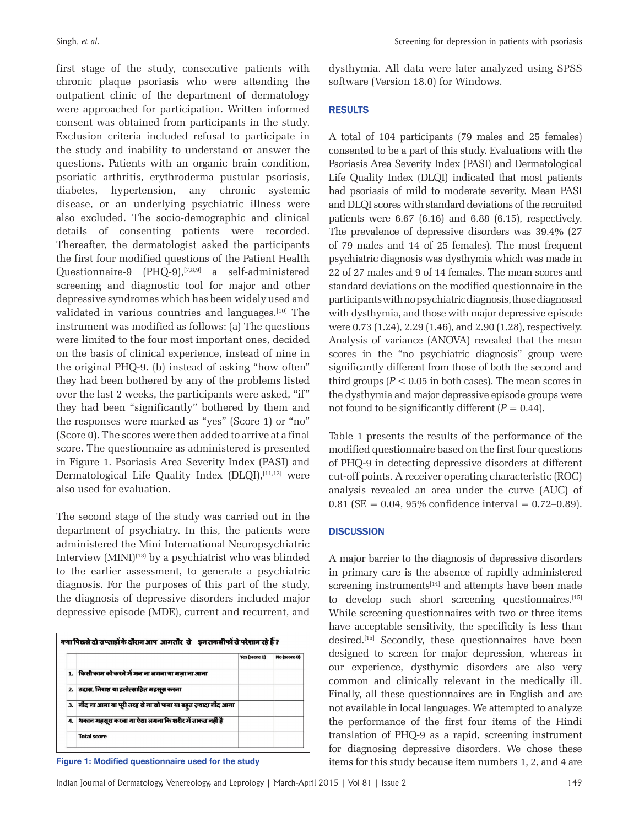first stage of the study, consecutive patients with chronic plaque psoriasis who were attending the outpatient clinic of the department of dermatology were approached for participation. Written informed consent was obtained from participants in the study. Exclusion criteria included refusal to participate in the study and inability to understand or answer the questions. Patients with an organic brain condition, psoriatic arthritis, erythroderma pustular psoriasis, diabetes, hypertension, any chronic systemic disease, or an underlying psychiatric illness were also excluded. The socio-demographic and clinical details of consenting patients were recorded. Thereafter, the dermatologist asked the participants the first four modified questions of the Patient Health Questionnaire-9 (PHQ-9),[7,8,9] a self-administered screening and diagnostic tool for major and other depressive syndromes which has been widely used and validated in various countries and languages.[10] The instrument was modified as follows: (a) The questions were limited to the four most important ones, decided on the basis of clinical experience, instead of nine in the original PHQ-9. (b) instead of asking "how often" they had been bothered by any of the problems listed over the last 2 weeks, the participants were asked, "if" they had been "significantly" bothered by them and the responses were marked as "yes" (Score 1) or "no" (Score 0). The scores were then added to arrive at a final score. The questionnaire as administered is presented in Figure 1. Psoriasis Area Severity Index (PASI) and Dermatological Life Quality Index (DLQI),<sup>[11,12]</sup> were also used for evaluation.

The second stage of the study was carried out in the department of psychiatry. In this, the patients were administered the Mini International Neuropsychiatric Interview  $(MINI)^{(13)}$  by a psychiatrist who was blinded to the earlier assessment, to generate a psychiatric diagnosis. For the purposes of this part of the study, the diagnosis of depressive disorders included major depressive episode (MDE), current and recurrent, and

|    |                                                                | Yes (score 1) | No (score 0) |
|----|----------------------------------------------------------------|---------------|--------------|
|    | किसी काम को करने में मन ना जगना या मज़ा ना आना                 |               |              |
| 2. | उदास, निराश या हतोत्साहित महसूस करना                           |               |              |
| 3. | नींद ना आना या पूरी तरह से ना सो पाना या बहूत ज़्यादा नींद आना |               |              |
| 4. | शकान महसूस करना या ऐसा जगना कि शरीर में ताकत नहीं है           |               |              |
|    | <b>Total score</b>                                             |               |              |

dysthymia. All data were later analyzed using SPSS software (Version 18.0) for Windows.

## RESULTS

A total of 104 participants (79 males and 25 females) consented to be a part of this study. Evaluations with the Psoriasis Area Severity Index (PASI) and Dermatological Life Quality Index (DLQI) indicated that most patients had psoriasis of mild to moderate severity. Mean PASI and DLQI scores with standard deviations of the recruited patients were 6.67 (6.16) and 6.88 (6.15), respectively. The prevalence of depressive disorders was 39.4% (27 of 79 males and 14 of 25 females). The most frequent psychiatric diagnosis was dysthymia which was made in 22 of 27 males and 9 of 14 females. The mean scores and standard deviations on the modified questionnaire in the participants with no psychiatric diagnosis, those diagnosed with dysthymia, and those with major depressive episode were 0.73 (1.24), 2.29 (1.46), and 2.90 (1.28), respectively. Analysis of variance (ANOVA) revealed that the mean scores in the "no psychiatric diagnosis" group were significantly different from those of both the second and third groups  $(P < 0.05$  in both cases). The mean scores in the dysthymia and major depressive episode groups were not found to be significantly different  $(P = 0.44)$ .

Table 1 presents the results of the performance of the modified questionnaire based on the first four questions of PHQ-9 in detecting depressive disorders at different cut-off points. A receiver operating characteristic (ROC) analysis revealed an area under the curve (AUC) of 0.81 (SE =  $0.04$ , 95% confidence interval =  $0.72-0.89$ ).

#### **DISCUSSION**

A major barrier to the diagnosis of depressive disorders in primary care is the absence of rapidly administered screening instruments<sup>[14]</sup> and attempts have been made to develop such short screening questionnaires.<sup>[15]</sup> While screening questionnaires with two or three items have acceptable sensitivity, the specificity is less than desired.<sup>[15]</sup> Secondly, these questionnaires have been designed to screen for major depression, whereas in our experience, dysthymic disorders are also very common and clinically relevant in the medically ill. Finally, all these questionnaires are in English and are not available in local languages. We attempted to analyze the performance of the first four items of the Hindi translation of PHQ-9 as a rapid, screening instrument for diagnosing depressive disorders. We chose these **Figure 1: Modified questionnaire used for the study items** for this study because item numbers 1, 2, and 4 are

Indian Journal of Dermatology, Venereology, and Leprology | March-April 2015 | Vol 81 | Issue 2 149